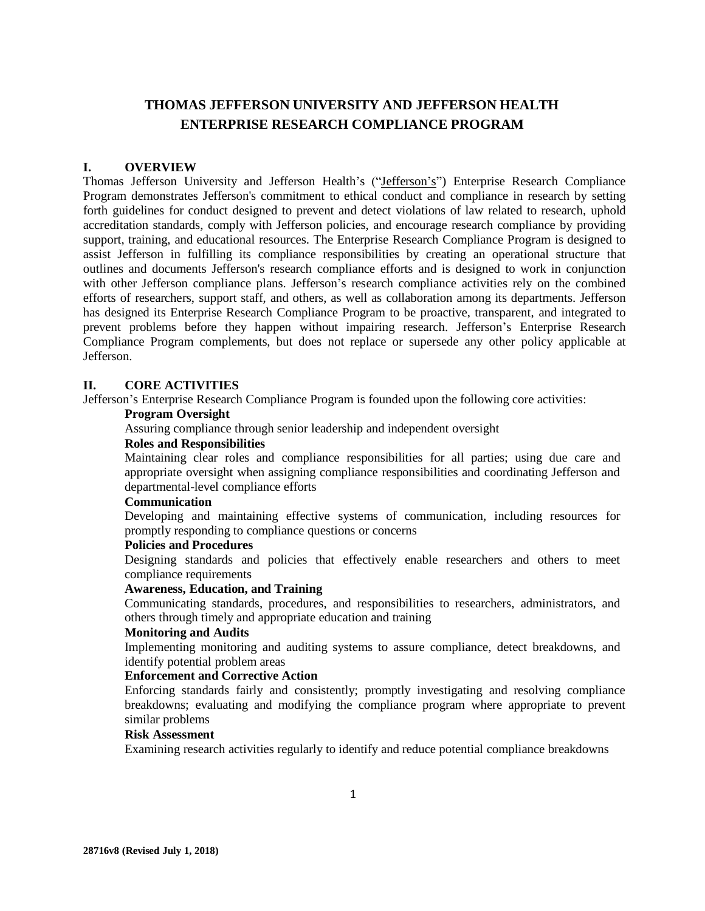# **THOMAS JEFFERSON UNIVERSITY AND JEFFERSON HEALTH ENTERPRISE RESEARCH COMPLIANCE PROGRAM**

### **I. OVERVIEW**

Thomas Jefferson University and Jefferson Health's ("Jefferson's") Enterprise Research Compliance Program demonstrates Jefferson's commitment to ethical conduct and compliance in research by setting forth guidelines for conduct designed to prevent and detect violations of law related to research, uphold accreditation standards, comply with Jefferson policies, and encourage research compliance by providing support, training, and educational resources. The Enterprise Research Compliance Program is designed to assist Jefferson in fulfilling its compliance responsibilities by creating an operational structure that outlines and documents Jefferson's research compliance efforts and is designed to work in conjunction with other Jefferson compliance plans. Jefferson's research compliance activities rely on the combined efforts of researchers, support staff, and others, as well as collaboration among its departments. Jefferson has designed its Enterprise Research Compliance Program to be proactive, transparent, and integrated to prevent problems before they happen without impairing research. Jefferson's Enterprise Research Compliance Program complements, but does not replace or supersede any other policy applicable at Jefferson.

### **II. CORE ACTIVITIES**

Jefferson's Enterprise Research Compliance Program is founded upon the following core activities:

### **Program Oversight**

Assuring compliance through senior leadership and independent oversight

# **Roles and Responsibilities**

Maintaining clear roles and compliance responsibilities for all parties; using due care and appropriate oversight when assigning compliance responsibilities and coordinating Jefferson and departmental-level compliance efforts

# **Communication**

Developing and maintaining effective systems of communication, including resources for promptly responding to compliance questions or concerns

# **Policies and Procedures**

Designing standards and policies that effectively enable researchers and others to meet compliance requirements

# **Awareness, Education, and Training**

Communicating standards, procedures, and responsibilities to researchers, administrators, and others through timely and appropriate education and training

### **Monitoring and Audits**

Implementing monitoring and auditing systems to assure compliance, detect breakdowns, and identify potential problem areas

### **Enforcement and Corrective Action**

Enforcing standards fairly and consistently; promptly investigating and resolving compliance breakdowns; evaluating and modifying the compliance program where appropriate to prevent similar problems

# **Risk Assessment**

Examining research activities regularly to identify and reduce potential compliance breakdowns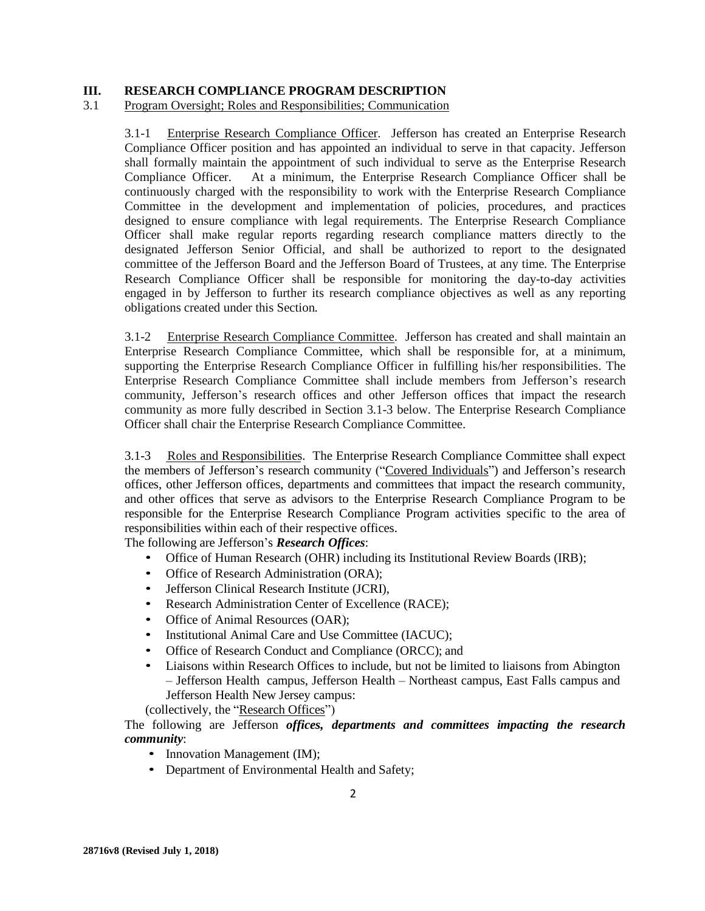### **III. RESEARCH COMPLIANCE PROGRAM DESCRIPTION**

### 3.1 Program Oversight; Roles and Responsibilities; Communication

3.1-1 Enterprise Research Compliance Officer. Jefferson has created an Enterprise Research Compliance Officer position and has appointed an individual to serve in that capacity. Jefferson shall formally maintain the appointment of such individual to serve as the Enterprise Research Compliance Officer. At a minimum, the Enterprise Research Compliance Officer shall be continuously charged with the responsibility to work with the Enterprise Research Compliance Committee in the development and implementation of policies, procedures, and practices designed to ensure compliance with legal requirements. The Enterprise Research Compliance Officer shall make regular reports regarding research compliance matters directly to the designated Jefferson Senior Official, and shall be authorized to report to the designated committee of the Jefferson Board and the Jefferson Board of Trustees, at any time. The Enterprise Research Compliance Officer shall be responsible for monitoring the day-to-day activities engaged in by Jefferson to further its research compliance objectives as well as any reporting obligations created under this Section.

3.1-2 Enterprise Research Compliance Committee. Jefferson has created and shall maintain an Enterprise Research Compliance Committee, which shall be responsible for, at a minimum, supporting the Enterprise Research Compliance Officer in fulfilling his/her responsibilities. The Enterprise Research Compliance Committee shall include members from Jefferson's research community, Jefferson's research offices and other Jefferson offices that impact the research community as more fully described in Section 3.1-3 below. The Enterprise Research Compliance Officer shall chair the Enterprise Research Compliance Committee.

3.1-3 Roles and Responsibilities. The Enterprise Research Compliance Committee shall expect the members of Jefferson's research community ("Covered Individuals") and Jefferson's research offices, other Jefferson offices, departments and committees that impact the research community, and other offices that serve as advisors to the Enterprise Research Compliance Program to be responsible for the Enterprise Research Compliance Program activities specific to the area of responsibilities within each of their respective offices.

The following are Jefferson's *Research Offices*:

- Office of Human Research (OHR) including its Institutional Review Boards (IRB);
- Office of Research Administration (ORA);
- Jefferson Clinical Research Institute (JCRI),
- Research Administration Center of Excellence (RACE);
- Office of Animal Resources (OAR);
- Institutional Animal Care and Use Committee (IACUC);
- Office of Research Conduct and Compliance (ORCC); and
- Liaisons within Research Offices to include, but not be limited to liaisons from Abington – Jefferson Health campus, Jefferson Health – Northeast campus, East Falls campus and Jefferson Health New Jersey campus:

(collectively, the "Research Offices")

The following are Jefferson *offices, departments and committees impacting the research community*:

- Innovation Management (IM);
- Department of Environmental Health and Safety;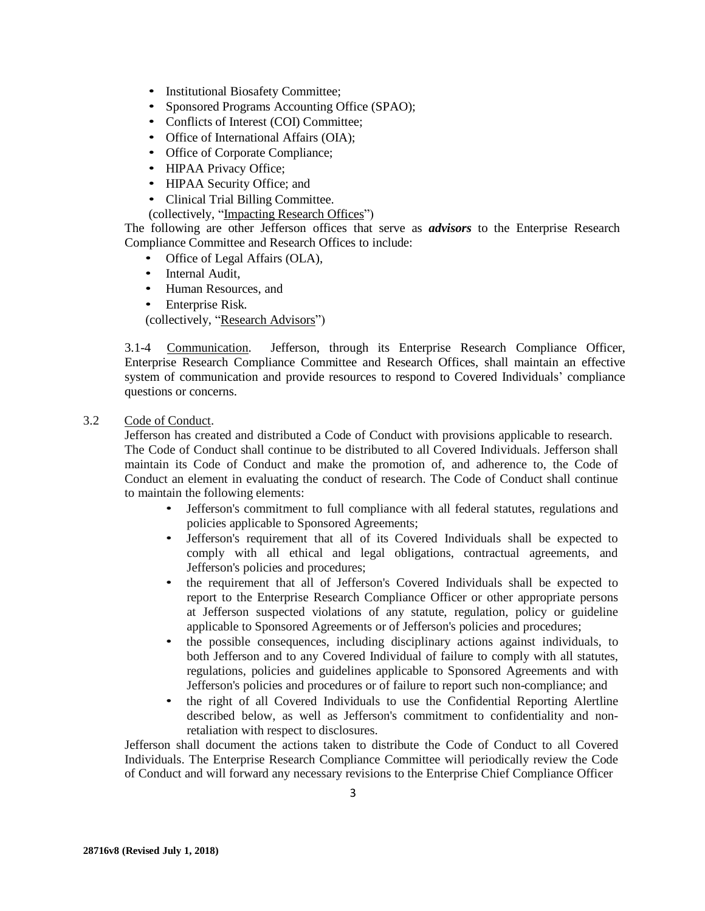- Institutional Biosafety Committee;
- Sponsored Programs Accounting Office (SPAO);
- Conflicts of Interest (COI) Committee;
- Office of International Affairs (OIA);
- Office of Corporate Compliance;
- HIPAA Privacy Office;
- HIPAA Security Office; and
- Clinical Trial Billing Committee.
- (collectively, "Impacting Research Offices")

The following are other Jefferson offices that serve as *advisors* to the Enterprise Research Compliance Committee and Research Offices to include:

- Office of Legal Affairs (OLA),
- Internal Audit,
- Human Resources, and
- Enterprise Risk.

(collectively, "Research Advisors")

3.1-4 Communication. Jefferson, through its Enterprise Research Compliance Officer, Enterprise Research Compliance Committee and Research Offices, shall maintain an effective system of communication and provide resources to respond to Covered Individuals' compliance questions or concerns.

### 3.2 Code of Conduct.

Jefferson has created and distributed a Code of Conduct with provisions applicable to research. The Code of Conduct shall continue to be distributed to all Covered Individuals. Jefferson shall maintain its Code of Conduct and make the promotion of, and adherence to, the Code of Conduct an element in evaluating the conduct of research. The Code of Conduct shall continue to maintain the following elements:

- Jefferson's commitment to full compliance with all federal statutes, regulations and policies applicable to Sponsored Agreements;
- Jefferson's requirement that all of its Covered Individuals shall be expected to comply with all ethical and legal obligations, contractual agreements, and Jefferson's policies and procedures;
- the requirement that all of Jefferson's Covered Individuals shall be expected to report to the Enterprise Research Compliance Officer or other appropriate persons at Jefferson suspected violations of any statute, regulation, policy or guideline applicable to Sponsored Agreements or of Jefferson's policies and procedures;
- the possible consequences, including disciplinary actions against individuals, to both Jefferson and to any Covered Individual of failure to comply with all statutes, regulations, policies and guidelines applicable to Sponsored Agreements and with Jefferson's policies and procedures or of failure to report such non-compliance; and
- the right of all Covered Individuals to use the Confidential Reporting Alertline described below, as well as Jefferson's commitment to confidentiality and nonretaliation with respect to disclosures.

Jefferson shall document the actions taken to distribute the Code of Conduct to all Covered Individuals. The Enterprise Research Compliance Committee will periodically review the Code of Conduct and will forward any necessary revisions to the Enterprise Chief Compliance Officer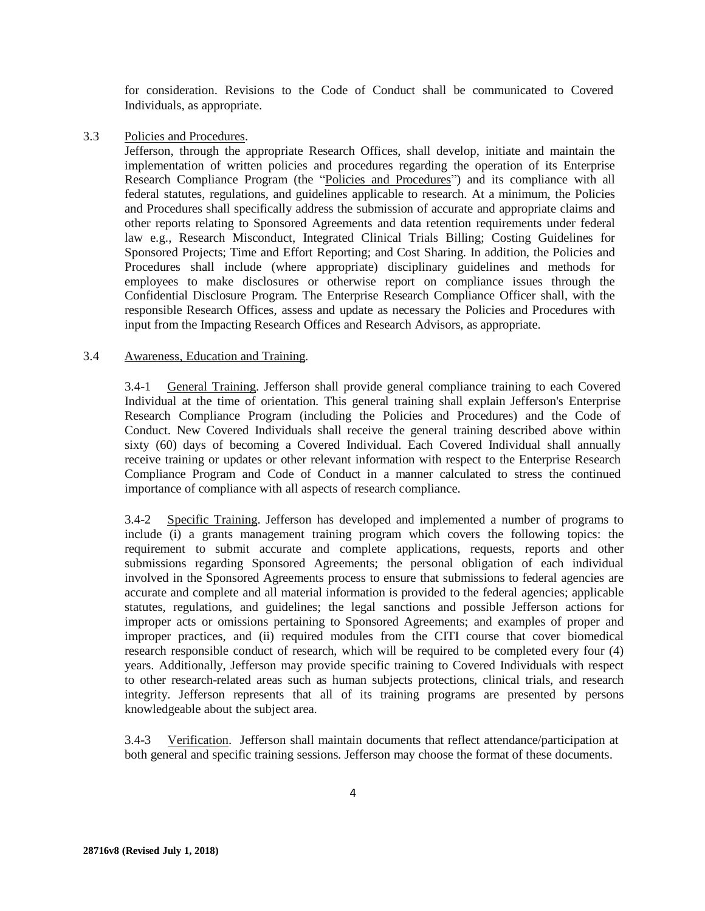for consideration. Revisions to the Code of Conduct shall be communicated to Covered Individuals, as appropriate.

### 3.3 Policies and Procedures.

Jefferson, through the appropriate Research Offices, shall develop, initiate and maintain the implementation of written policies and procedures regarding the operation of its Enterprise Research Compliance Program (the "Policies and Procedures") and its compliance with all federal statutes, regulations, and guidelines applicable to research. At a minimum, the Policies and Procedures shall specifically address the submission of accurate and appropriate claims and other reports relating to Sponsored Agreements and data retention requirements under federal law e.g., Research Misconduct, Integrated Clinical Trials Billing; Costing Guidelines for Sponsored Projects; Time and Effort Reporting; and Cost Sharing. In addition, the Policies and Procedures shall include (where appropriate) disciplinary guidelines and methods for employees to make disclosures or otherwise report on compliance issues through the Confidential Disclosure Program. The Enterprise Research Compliance Officer shall, with the responsible Research Offices, assess and update as necessary the Policies and Procedures with input from the Impacting Research Offices and Research Advisors, as appropriate.

### 3.4 Awareness, Education and Training.

3.4-1 General Training. Jefferson shall provide general compliance training to each Covered Individual at the time of orientation. This general training shall explain Jefferson's Enterprise Research Compliance Program (including the Policies and Procedures) and the Code of Conduct. New Covered Individuals shall receive the general training described above within sixty (60) days of becoming a Covered Individual. Each Covered Individual shall annually receive training or updates or other relevant information with respect to the Enterprise Research Compliance Program and Code of Conduct in a manner calculated to stress the continued importance of compliance with all aspects of research compliance.

3.4-2 Specific Training. Jefferson has developed and implemented a number of programs to include (i) a grants management training program which covers the following topics: the requirement to submit accurate and complete applications, requests, reports and other submissions regarding Sponsored Agreements; the personal obligation of each individual involved in the Sponsored Agreements process to ensure that submissions to federal agencies are accurate and complete and all material information is provided to the federal agencies; applicable statutes, regulations, and guidelines; the legal sanctions and possible Jefferson actions for improper acts or omissions pertaining to Sponsored Agreements; and examples of proper and improper practices, and (ii) required modules from the CITI course that cover biomedical research responsible conduct of research, which will be required to be completed every four (4) years. Additionally, Jefferson may provide specific training to Covered Individuals with respect to other research-related areas such as human subjects protections, clinical trials, and research integrity. Jefferson represents that all of its training programs are presented by persons knowledgeable about the subject area.

3.4-3 Verification. Jefferson shall maintain documents that reflect attendance/participation at both general and specific training sessions. Jefferson may choose the format of these documents.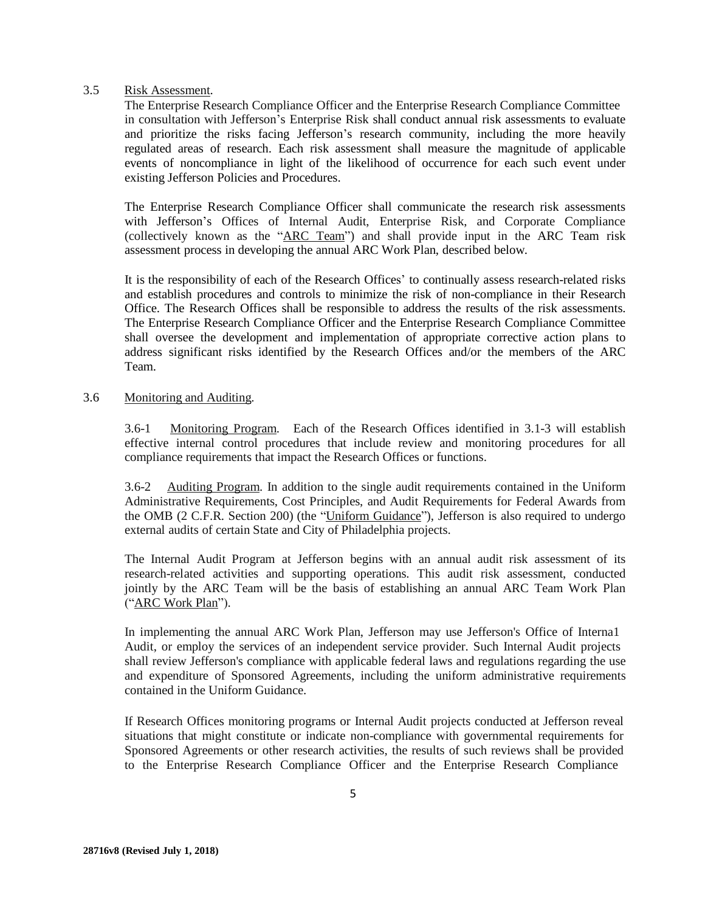### 3.5 Risk Assessment.

The Enterprise Research Compliance Officer and the Enterprise Research Compliance Committee in consultation with Jefferson's Enterprise Risk shall conduct annual risk assessments to evaluate and prioritize the risks facing Jefferson's research community, including the more heavily regulated areas of research. Each risk assessment shall measure the magnitude of applicable events of noncompliance in light of the likelihood of occurrence for each such event under existing Jefferson Policies and Procedures.

The Enterprise Research Compliance Officer shall communicate the research risk assessments with Jefferson's Offices of Internal Audit, Enterprise Risk, and Corporate Compliance (collectively known as the "ARC Team") and shall provide input in the ARC Team risk assessment process in developing the annual ARC Work Plan, described below.

It is the responsibility of each of the Research Offices' to continually assess research-related risks and establish procedures and controls to minimize the risk of non-compliance in their Research Office. The Research Offices shall be responsible to address the results of the risk assessments. The Enterprise Research Compliance Officer and the Enterprise Research Compliance Committee shall oversee the development and implementation of appropriate corrective action plans to address significant risks identified by the Research Offices and/or the members of the ARC Team.

### 3.6 Monitoring and Auditing.

3.6-1 Monitoring Program. Each of the Research Offices identified in 3.1-3 will establish effective internal control procedures that include review and monitoring procedures for all compliance requirements that impact the Research Offices or functions.

3.6-2 Auditing Program. In addition to the single audit requirements contained in the Uniform Administrative Requirements, Cost Principles, and Audit Requirements for Federal Awards from the OMB (2 C.F.R. Section 200) (the "Uniform Guidance"), Jefferson is also required to undergo external audits of certain State and City of Philadelphia projects.

The Internal Audit Program at Jefferson begins with an annual audit risk assessment of its research-related activities and supporting operations. This audit risk assessment, conducted jointly by the ARC Team will be the basis of establishing an annual ARC Team Work Plan ("ARC Work Plan").

In implementing the annual ARC Work Plan, Jefferson may use Jefferson's Office of Interna1 Audit, or employ the services of an independent service provider. Such Internal Audit projects shall review Jefferson's compliance with applicable federal laws and regulations regarding the use and expenditure of Sponsored Agreements, including the uniform administrative requirements contained in the Uniform Guidance.

If Research Offices monitoring programs or Internal Audit projects conducted at Jefferson reveal situations that might constitute or indicate non-compliance with governmental requirements for Sponsored Agreements or other research activities, the results of such reviews shall be provided to the Enterprise Research Compliance Officer and the Enterprise Research Compliance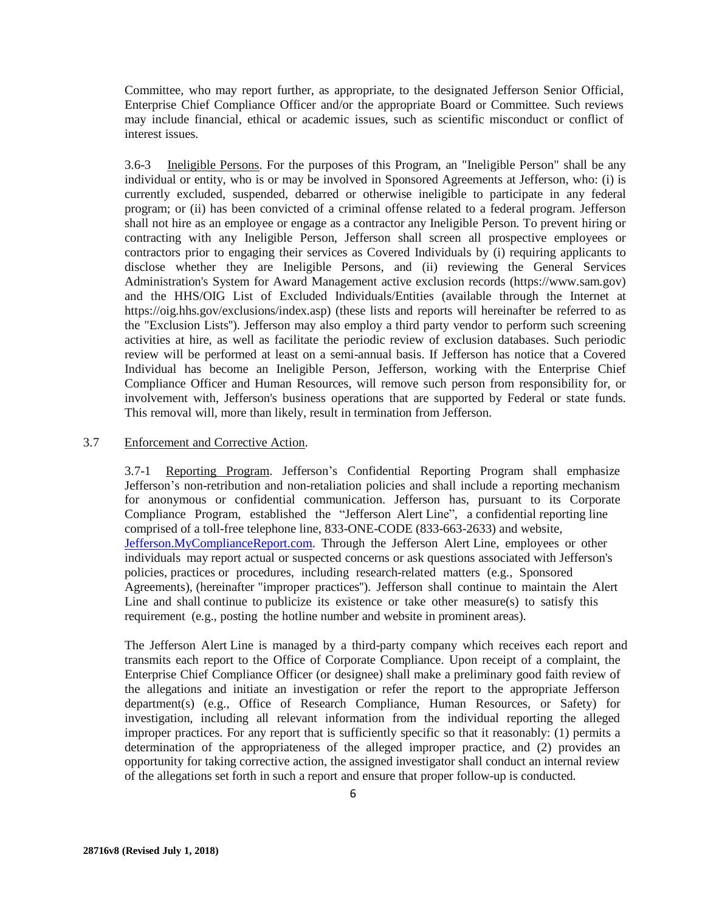Committee, who may report further, as appropriate, to the designated Jefferson Senior Official, Enterprise Chief Compliance Officer and/or the appropriate Board or Committee. Such reviews may include financial, ethical or academic issues, such as scientific misconduct or conflict of interest issues.

3.6-3 Ineligible Persons. For the purposes of this Program, an "Ineligible Person" shall be any individual or entity, who is or may be involved in Sponsored Agreements at Jefferson, who: (i) is currently excluded, suspended, debarred or otherwise ineligible to participate in any federal program; or (ii) has been convicted of a criminal offense related to a federal program. Jefferson shall not hire as an employee or engage as a contractor any Ineligible Person. To prevent hiring or contracting with any Ineligible Person, Jefferson shall screen all prospective employees or contractors prior to engaging their services as Covered Individuals by (i) requiring applicants to disclose whether they are Ineligible Persons, and (ii) reviewing the General Services Administration's System for Award Management active exclusion records (https://www.sam.gov) and the HHS/OIG List of Excluded Individuals/Entities (available through the Internet at https://oig.hhs.gov/exclusions/index.asp) (these lists and reports will hereinafter be referred to as the "Exclusion Lists''). Jefferson may also employ a third party vendor to perform such screening activities at hire, as well as facilitate the periodic review of exclusion databases. Such periodic review will be performed at least on a semi-annual basis. If Jefferson has notice that a Covered Individual has become an Ineligible Person, Jefferson, working with the Enterprise Chief Compliance Officer and Human Resources, will remove such person from responsibility for, or involvement with, Jefferson's business operations that are supported by Federal or state funds. This removal will, more than likely, result in termination from Jefferson.

### 3.7 Enforcement and Corrective Action.

3.7-1 Reporting Program. Jefferson's Confidential Reporting Program shall emphasize Jefferson's non-retribution and non-retaliation policies and shall include a reporting mechanism for anonymous or confidential communication. Jefferson has, pursuant to its Corporate Compliance Program, established the "Jefferson Alert Line", a confidential reporting line comprised of a toll-free telephone line, 833-ONE-CODE (833-663-2633) and website, [Jefferson.MyComplianceReport.com.](https://app.mycompliancereport.com/report.aspx?cid=tju) Through the Jefferson Alert Line, employees or other individuals may report actual or suspected concerns or ask questions associated with Jefferson's policies, practices or procedures, including research-related matters (e.g., Sponsored Agreements), (hereinafter "improper practices''). Jefferson shall continue to maintain the Alert Line and shall continue to publicize its existence or take other measure(s) to satisfy this requirement (e.g., posting the hotline number and website in prominent areas).

The Jefferson Alert Line is managed by a third-party company which receives each report and transmits each report to the Office of Corporate Compliance. Upon receipt of a complaint, the Enterprise Chief Compliance Officer (or designee) shall make a preliminary good faith review of the allegations and initiate an investigation or refer the report to the appropriate Jefferson department(s) (e.g., Office of Research Compliance, Human Resources, or Safety) for investigation, including all relevant information from the individual reporting the alleged improper practices. For any report that is sufficiently specific so that it reasonably: (1) permits a determination of the appropriateness of the alleged improper practice, and (2) provides an opportunity for taking corrective action, the assigned investigator shall conduct an internal review of the allegations set forth in such a report and ensure that proper follow-up is conducted.